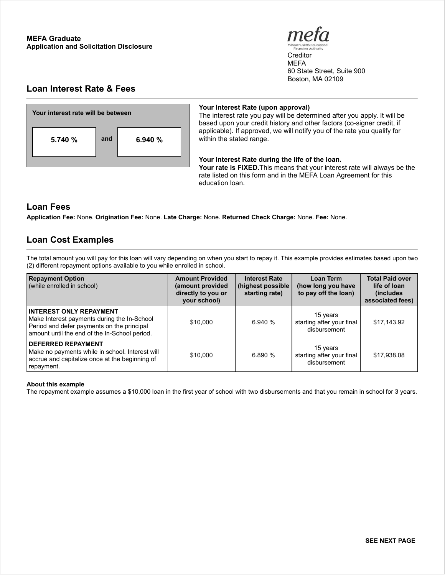

**Creditor MEFA** 60 State Street, Suite 900 Boston, MA 02109

# **Loan Interest Rate & Fees**



#### **Your Interest Rate (upon approval)**

The interest rate you pay will be determined after you apply. It will be based upon your credit history and other factors (co-signer credit, if applicable). If approved, we will notify you of the rate you qualify for within the stated range.

#### **Your Interest Rate during the life of the loan.**

**Your rate is FIXED.**This means that your interest rate will always be the rate listed on this form and in the MEFA Loan Agreement for this education loan.

## **Loan Fees**

**Application Fee:** None. **Origination Fee:** None. **Late Charge:** None. **Returned Check Charge:** None. **Fee:** None.

# **Loan Cost Examples**

The total amount you will pay for this loan will vary depending on when you start to repay it. This example provides estimates based upon two (2) different repayment options available to you while enrolled in school.

| <b>Repayment Option</b><br>(while enrolled in school)                                                                                                                        | <b>Amount Provided</b><br>(amount provided<br>directly to you or<br>your school) | <b>Interest Rate</b><br>(highest possible<br>starting rate) | Loan Term<br>(how long you have<br>to pay off the loan) | <b>Total Paid over</b><br>life of loan<br><i>(includes)</i><br>associated fees) |
|------------------------------------------------------------------------------------------------------------------------------------------------------------------------------|----------------------------------------------------------------------------------|-------------------------------------------------------------|---------------------------------------------------------|---------------------------------------------------------------------------------|
| <b>INTEREST ONLY REPAYMENT</b><br>Make Interest payments during the In-School<br>Period and defer payments on the principal<br>amount until the end of the In-School period. | \$10,000                                                                         | 6.940 %                                                     | 15 years<br>starting after your final<br>disbursement   | \$17,143.92                                                                     |
| <b>DEFERRED REPAYMENT</b><br>Make no payments while in school. Interest will<br>accrue and capitalize once at the beginning of<br>repayment.                                 | \$10,000                                                                         | 6.890%                                                      | 15 years<br>starting after your final<br>disbursement   | \$17,938.08                                                                     |

#### **About this example**

The repayment example assumes a \$10,000 loan in the first year of school with two disbursements and that you remain in school for 3 years.